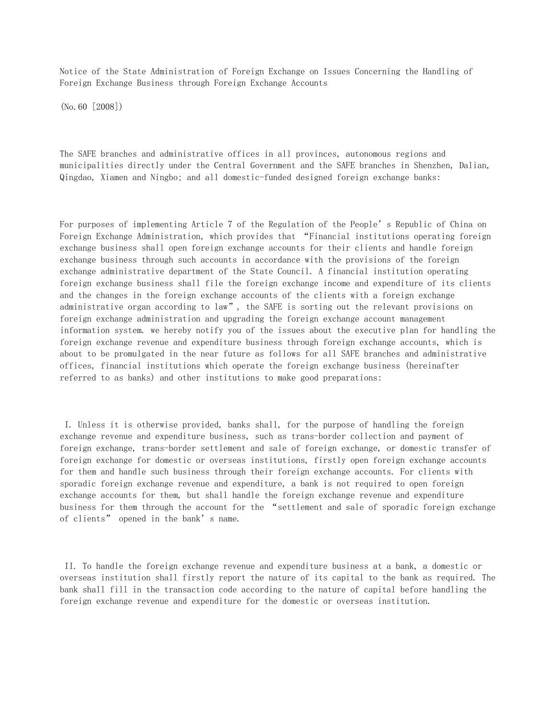Notice of the State Administration of Foreign Exchange on Issues Concerning the Handling of Foreign Exchange Business through Foreign Exchange Accounts

(No.60 [2008])

The SAFE branches and administrative offices in all provinces, autonomous regions and municipalities directly under the Central Government and the SAFE branches in Shenzhen, Dalian, Qingdao, Xiamen and Ningbo; and all domestic-funded designed foreign exchange banks:

For purposes of implementing Article 7 of the Regulation of the People's Republic of China on Foreign Exchange Administration, which provides that "Financial institutions operating foreign exchange business shall open foreign exchange accounts for their clients and handle foreign exchange business through such accounts in accordance with the provisions of the foreign exchange administrative department of the State Council. A financial institution operating foreign exchange business shall file the foreign exchange income and expenditure of its clients and the changes in the foreign exchange accounts of the clients with a foreign exchange administrative organ according to law", the SAFE is sorting out the relevant provisions on foreign exchange administration and upgrading the foreign exchange account management information system. we hereby notify you of the issues about the executive plan for handling the foreign exchange revenue and expenditure business through foreign exchange accounts, which is about to be promulgated in the near future as follows for all SAFE branches and administrative offices, financial institutions which operate the foreign exchange business (hereinafter referred to as banks) and other institutions to make good preparations:

 I. Unless it is otherwise provided, banks shall, for the purpose of handling the foreign exchange revenue and expenditure business, such as trans-border collection and payment of foreign exchange, trans-border settlement and sale of foreign exchange, or domestic transfer of foreign exchange for domestic or overseas institutions, firstly open foreign exchange accounts for them and handle such business through their foreign exchange accounts. For clients with sporadic foreign exchange revenue and expenditure, a bank is not required to open foreign exchange accounts for them, but shall handle the foreign exchange revenue and expenditure business for them through the account for the "settlement and sale of sporadic foreign exchange of clients" opened in the bank's name.

 II. To handle the foreign exchange revenue and expenditure business at a bank, a domestic or overseas institution shall firstly report the nature of its capital to the bank as required. The bank shall fill in the transaction code according to the nature of capital before handling the foreign exchange revenue and expenditure for the domestic or overseas institution.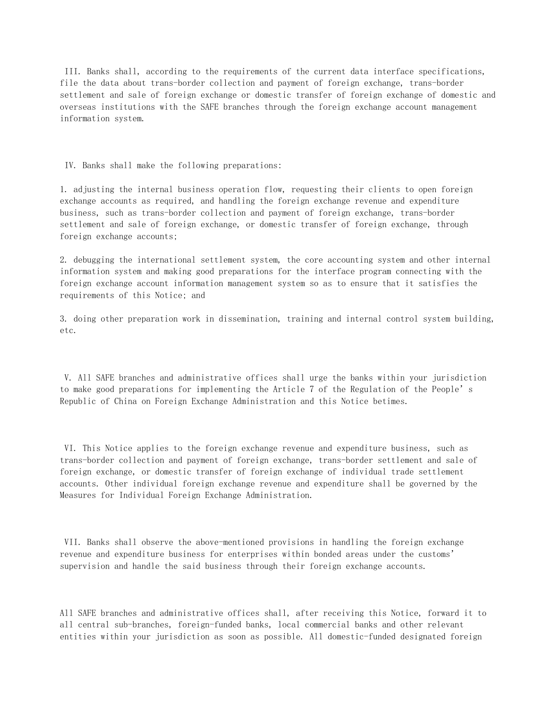III. Banks shall, according to the requirements of the current data interface specifications, file the data about trans-border collection and payment of foreign exchange, trans-border settlement and sale of foreign exchange or domestic transfer of foreign exchange of domestic and overseas institutions with the SAFE branches through the foreign exchange account management information system.

IV. Banks shall make the following preparations:

1. adjusting the internal business operation flow, requesting their clients to open foreign exchange accounts as required, and handling the foreign exchange revenue and expenditure business, such as trans-border collection and payment of foreign exchange, trans-border settlement and sale of foreign exchange, or domestic transfer of foreign exchange, through foreign exchange accounts;

2. debugging the international settlement system, the core accounting system and other internal information system and making good preparations for the interface program connecting with the foreign exchange account information management system so as to ensure that it satisfies the requirements of this Notice; and

3. doing other preparation work in dissemination, training and internal control system building, etc.

 V. All SAFE branches and administrative offices shall urge the banks within your jurisdiction to make good preparations for implementing the Article 7 of the Regulation of the People's Republic of China on Foreign Exchange Administration and this Notice betimes.

 VI. This Notice applies to the foreign exchange revenue and expenditure business, such as trans-border collection and payment of foreign exchange, trans-border settlement and sale of foreign exchange, or domestic transfer of foreign exchange of individual trade settlement accounts. Other individual foreign exchange revenue and expenditure shall be governed by the Measures for Individual Foreign Exchange Administration.

 VII. Banks shall observe the above-mentioned provisions in handling the foreign exchange revenue and expenditure business for enterprises within bonded areas under the customs' supervision and handle the said business through their foreign exchange accounts.

All SAFE branches and administrative offices shall, after receiving this Notice, forward it to all central sub-branches, foreign-funded banks, local commercial banks and other relevant entities within your jurisdiction as soon as possible. All domestic-funded designated foreign